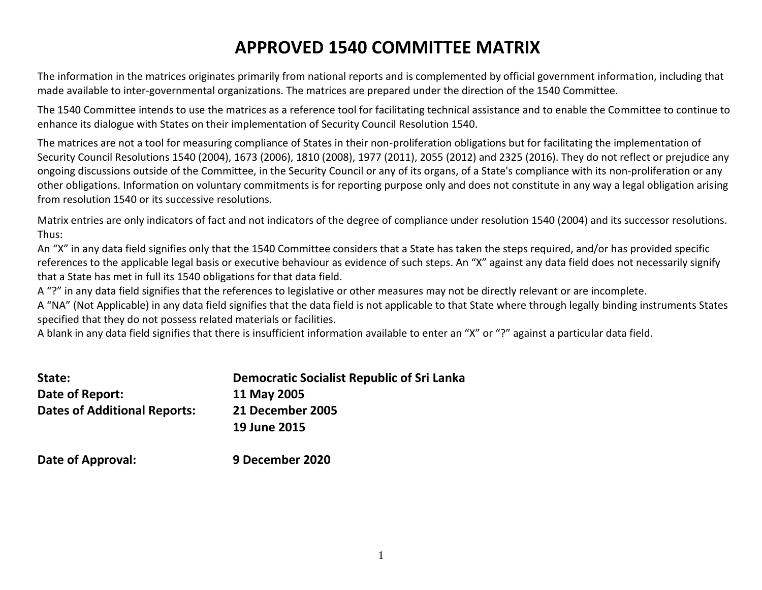# **APPROVED 1540 COMMITTEE MATRIX**

The information in the matrices originates primarily from national reports and is complemented by official government information, including that made available to inter-governmental organizations. The matrices are prepared under the direction of the 1540 Committee.

The 1540 Committee intends to use the matrices as a reference tool for facilitating technical assistance and to enable the Committee to continue to enhance its dialogue with States on their implementation of Security Council Resolution 1540.

The matrices are not a tool for measuring compliance of States in their non-proliferation obligations but for facilitating the implementation of Security Council Resolutions 1540 (2004), 1673 (2006), 1810 (2008), 1977 (2011), 2055 (2012) and 2325 (2016). They do not reflect or prejudice any ongoing discussions outside of the Committee, in the Security Council or any of its organs, of a State's compliance with its non-proliferation or any other obligations. Information on voluntary commitments is for reporting purpose only and does not constitute in any way a legal obligation arising from resolution 1540 or its successive resolutions.

Matrix entries are only indicators of fact and not indicators of the degree of compliance under resolution 1540 (2004) and its successor resolutions. Thus:

An "X" in any data field signifies only that the 1540 Committee considers that a State has taken the steps required, and/or has provided specific references to the applicable legal basis or executive behaviour as evidence of such steps. An "X" against any data field does not necessarily signify that a State has met in full its 1540 obligations for that data field.

A "?" in any data field signifies that the references to legislative or other measures may not be directly relevant or are incomplete.

A "NA" (Not Applicable) in any data field signifies that the data field is not applicable to that State where through legally binding instruments States specified that they do not possess related materials or facilities.

A blank in any data field signifies that there is insufficient information available to enter an "X" or "?" against a particular data field.

| State:                              | Democratic Socialist Republic of Sri Lanka |
|-------------------------------------|--------------------------------------------|
| Date of Report:                     | 11 May 2005                                |
| <b>Dates of Additional Reports:</b> | 21 December 2005                           |
|                                     | 19 June 2015                               |
|                                     |                                            |

**Date of Approval: 9 December 2020**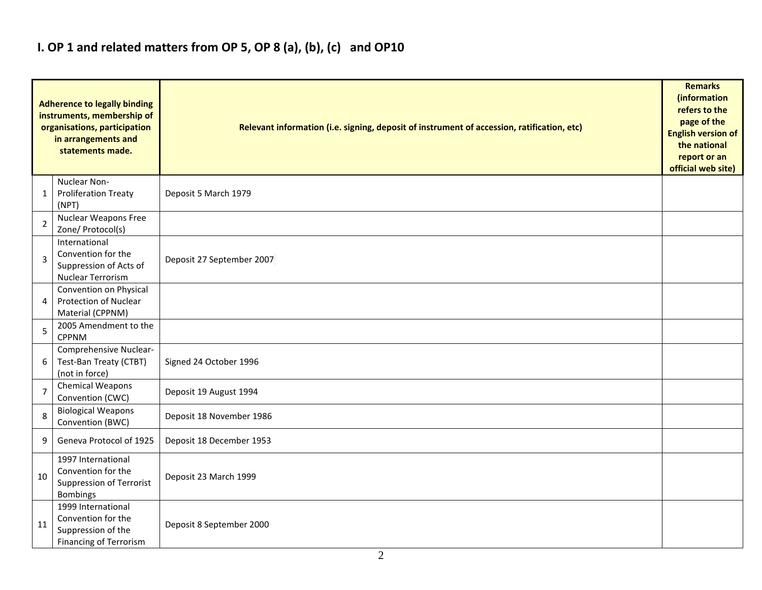## **I. OP 1 and related matters from OP 5, OP 8 (a), (b), (c) and OP10**

|                | <b>Adherence to legally binding</b><br>instruments, membership of<br>organisations, participation<br>in arrangements and<br>statements made. | Relevant information (i.e. signing, deposit of instrument of accession, ratification, etc) |  |  |  |  |  |  |  |  |  |
|----------------|----------------------------------------------------------------------------------------------------------------------------------------------|--------------------------------------------------------------------------------------------|--|--|--|--|--|--|--|--|--|
| 1              | Nuclear Non-<br><b>Proliferation Treaty</b><br>(NPT)                                                                                         | Deposit 5 March 1979                                                                       |  |  |  |  |  |  |  |  |  |
| 2              | Nuclear Weapons Free<br>Zone/ Protocol(s)                                                                                                    |                                                                                            |  |  |  |  |  |  |  |  |  |
| 3              | International<br>Convention for the<br>Suppression of Acts of<br>Nuclear Terrorism                                                           | Deposit 27 September 2007                                                                  |  |  |  |  |  |  |  |  |  |
| 4              | Convention on Physical<br><b>Protection of Nuclear</b><br>Material (CPPNM)                                                                   |                                                                                            |  |  |  |  |  |  |  |  |  |
| 5              | 2005 Amendment to the<br><b>CPPNM</b>                                                                                                        |                                                                                            |  |  |  |  |  |  |  |  |  |
| 6              | Comprehensive Nuclear-<br>Test-Ban Treaty (CTBT)<br>(not in force)                                                                           | Signed 24 October 1996                                                                     |  |  |  |  |  |  |  |  |  |
| $\overline{7}$ | Chemical Weapons<br>Convention (CWC)                                                                                                         | Deposit 19 August 1994                                                                     |  |  |  |  |  |  |  |  |  |
| 8              | <b>Biological Weapons</b><br>Convention (BWC)                                                                                                | Deposit 18 November 1986                                                                   |  |  |  |  |  |  |  |  |  |
| 9              | Geneva Protocol of 1925                                                                                                                      | Deposit 18 December 1953                                                                   |  |  |  |  |  |  |  |  |  |
| 10             | 1997 International<br>Convention for the<br><b>Suppression of Terrorist</b><br>Bombings                                                      | Deposit 23 March 1999                                                                      |  |  |  |  |  |  |  |  |  |
| 11             | 1999 International<br>Convention for the<br>Suppression of the<br><b>Financing of Terrorism</b>                                              | Deposit 8 September 2000                                                                   |  |  |  |  |  |  |  |  |  |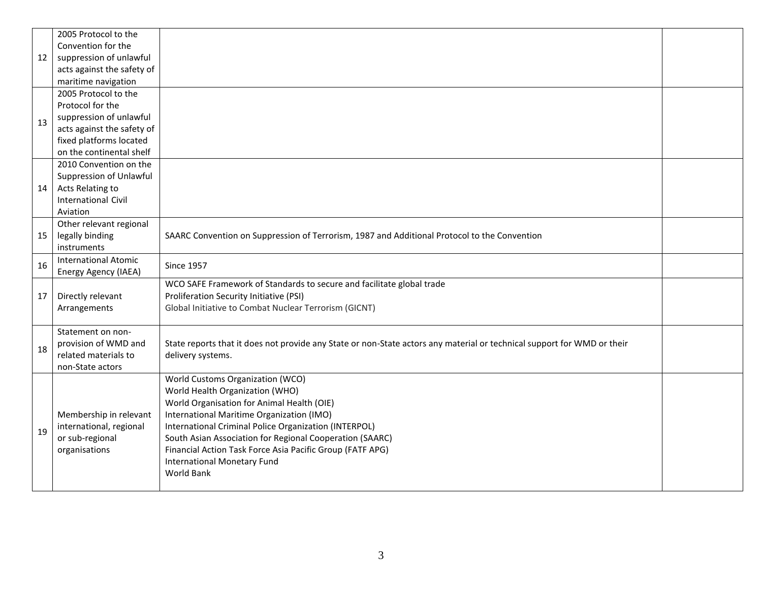|    | 2005 Protocol to the        |                                                                                                                         |  |
|----|-----------------------------|-------------------------------------------------------------------------------------------------------------------------|--|
|    | Convention for the          |                                                                                                                         |  |
| 12 | suppression of unlawful     |                                                                                                                         |  |
|    | acts against the safety of  |                                                                                                                         |  |
|    | maritime navigation         |                                                                                                                         |  |
|    | 2005 Protocol to the        |                                                                                                                         |  |
|    | Protocol for the            |                                                                                                                         |  |
| 13 | suppression of unlawful     |                                                                                                                         |  |
|    | acts against the safety of  |                                                                                                                         |  |
|    | fixed platforms located     |                                                                                                                         |  |
|    | on the continental shelf    |                                                                                                                         |  |
|    | 2010 Convention on the      |                                                                                                                         |  |
|    | Suppression of Unlawful     |                                                                                                                         |  |
| 14 | Acts Relating to            |                                                                                                                         |  |
|    | <b>International Civil</b>  |                                                                                                                         |  |
|    | Aviation                    |                                                                                                                         |  |
|    | Other relevant regional     |                                                                                                                         |  |
| 15 | legally binding             | SAARC Convention on Suppression of Terrorism, 1987 and Additional Protocol to the Convention                            |  |
|    | instruments                 |                                                                                                                         |  |
| 16 | <b>International Atomic</b> | <b>Since 1957</b>                                                                                                       |  |
|    | Energy Agency (IAEA)        |                                                                                                                         |  |
|    |                             | WCO SAFE Framework of Standards to secure and facilitate global trade                                                   |  |
| 17 | Directly relevant           | Proliferation Security Initiative (PSI)                                                                                 |  |
|    | Arrangements                | Global Initiative to Combat Nuclear Terrorism (GICNT)                                                                   |  |
|    |                             |                                                                                                                         |  |
|    | Statement on non-           |                                                                                                                         |  |
| 18 | provision of WMD and        | State reports that it does not provide any State or non-State actors any material or technical support for WMD or their |  |
|    | related materials to        | delivery systems.                                                                                                       |  |
|    | non-State actors            |                                                                                                                         |  |
|    |                             | World Customs Organization (WCO)                                                                                        |  |
|    |                             | World Health Organization (WHO)                                                                                         |  |
|    |                             | World Organisation for Animal Health (OIE)                                                                              |  |
|    | Membership in relevant      | International Maritime Organization (IMO)                                                                               |  |
| 19 | international, regional     | International Criminal Police Organization (INTERPOL)                                                                   |  |
|    | or sub-regional             | South Asian Association for Regional Cooperation (SAARC)                                                                |  |
|    | organisations               | Financial Action Task Force Asia Pacific Group (FATF APG)                                                               |  |
|    |                             | <b>International Monetary Fund</b>                                                                                      |  |
|    |                             | World Bank                                                                                                              |  |
|    |                             |                                                                                                                         |  |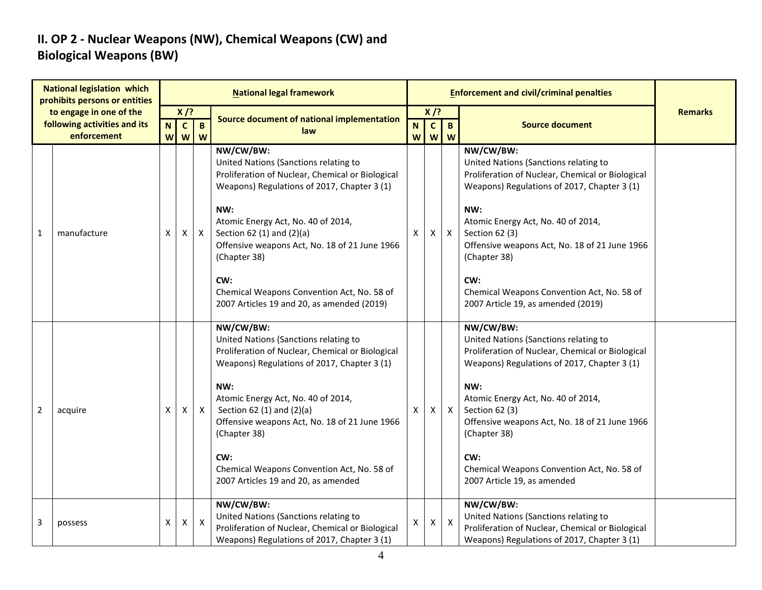### **II. OP 2 - Nuclear Weapons (NW), Chemical Weapons (CW) and Biological Weapons (BW)**

| <b>National legislation which</b><br>prohibits persons or entities |                                                                        |                  |                            |                           | <b>National legal framework</b>                                                                                                                                                                                                                                                                                                                                                                     |        |                             |                           | <b>Enforcement and civil/criminal penalties</b>                                                                                                                                                                                                                                                                                                                                  |                |
|--------------------------------------------------------------------|------------------------------------------------------------------------|------------------|----------------------------|---------------------------|-----------------------------------------------------------------------------------------------------------------------------------------------------------------------------------------------------------------------------------------------------------------------------------------------------------------------------------------------------------------------------------------------------|--------|-----------------------------|---------------------------|----------------------------------------------------------------------------------------------------------------------------------------------------------------------------------------------------------------------------------------------------------------------------------------------------------------------------------------------------------------------------------|----------------|
|                                                                    | to engage in one of the<br>following activities and its<br>enforcement | $\mathbf N$<br>W | $X$ /?<br>$\mathbf c$<br>W | $\mathbf B$<br>W          | <b>Source document of national implementation</b><br>law                                                                                                                                                                                                                                                                                                                                            | N<br>W | $X$ /?<br>$\mathbf{c}$<br>W | $\mathbf{B}$<br>W         | <b>Source document</b>                                                                                                                                                                                                                                                                                                                                                           | <b>Remarks</b> |
| 1                                                                  | manufacture                                                            | X                | Χ                          | $\mathsf{X}$              | NW/CW/BW:<br>United Nations (Sanctions relating to<br>Proliferation of Nuclear, Chemical or Biological<br>Weapons) Regulations of 2017, Chapter 3 (1)<br>NW:<br>Atomic Energy Act, No. 40 of 2014,<br>Section 62 (1) and (2)(a)<br>Offensive weapons Act, No. 18 of 21 June 1966<br>(Chapter 38)<br>CW:<br>Chemical Weapons Convention Act, No. 58 of<br>2007 Articles 19 and 20, as amended (2019) | X      | X                           | $\mathsf{X}$              | NW/CW/BW:<br>United Nations (Sanctions relating to<br>Proliferation of Nuclear, Chemical or Biological<br>Weapons) Regulations of 2017, Chapter 3 (1)<br>NW:<br>Atomic Energy Act, No. 40 of 2014,<br>Section 62 (3)<br>Offensive weapons Act, No. 18 of 21 June 1966<br>(Chapter 38)<br>CW:<br>Chemical Weapons Convention Act, No. 58 of<br>2007 Article 19, as amended (2019) |                |
| $\overline{2}$                                                     | acquire                                                                | X                | X                          | $\mathsf{X}$              | NW/CW/BW:<br>United Nations (Sanctions relating to<br>Proliferation of Nuclear, Chemical or Biological<br>Weapons) Regulations of 2017, Chapter 3 (1)<br>NW:<br>Atomic Energy Act, No. 40 of 2014,<br>Section 62 $(1)$ and $(2)(a)$<br>Offensive weapons Act, No. 18 of 21 June 1966<br>(Chapter 38)<br>CW:<br>Chemical Weapons Convention Act, No. 58 of<br>2007 Articles 19 and 20, as amended    | X      | Χ                           | $\mathsf{X}$              | NW/CW/BW:<br>United Nations (Sanctions relating to<br>Proliferation of Nuclear, Chemical or Biological<br>Weapons) Regulations of 2017, Chapter 3 (1)<br>NW:<br>Atomic Energy Act, No. 40 of 2014,<br>Section 62 (3)<br>Offensive weapons Act, No. 18 of 21 June 1966<br>(Chapter 38)<br>CW:<br>Chemical Weapons Convention Act, No. 58 of<br>2007 Article 19, as amended        |                |
| 3                                                                  | possess                                                                | X                | X                          | $\boldsymbol{\mathsf{X}}$ | NW/CW/BW:<br>United Nations (Sanctions relating to<br>Proliferation of Nuclear, Chemical or Biological<br>Weapons) Regulations of 2017, Chapter 3 (1)                                                                                                                                                                                                                                               | X      | Χ                           | $\boldsymbol{\mathsf{X}}$ | NW/CW/BW:<br>United Nations (Sanctions relating to<br>Proliferation of Nuclear, Chemical or Biological<br>Weapons) Regulations of 2017, Chapter 3 (1)                                                                                                                                                                                                                            |                |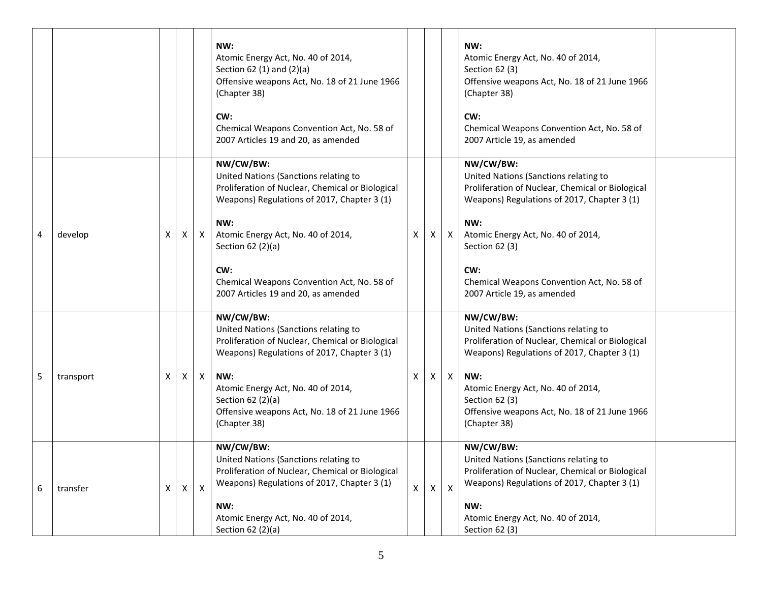|   |           |   |              |                           | NW:<br>Atomic Energy Act, No. 40 of 2014,<br>Section 62 (1) and (2)(a)<br>Offensive weapons Act, No. 18 of 21 June 1966<br>(Chapter 38)<br>CW:<br>Chemical Weapons Convention Act, No. 58 of<br>2007 Articles 19 and 20, as amended                                                                                 |   |   |                           | NW:<br>Atomic Energy Act, No. 40 of 2014,<br>Section 62 (3)<br>Offensive weapons Act, No. 18 of 21 June 1966<br>(Chapter 38)<br>CW:<br>Chemical Weapons Convention Act, No. 58 of<br>2007 Article 19, as amended                                                                                         |  |
|---|-----------|---|--------------|---------------------------|---------------------------------------------------------------------------------------------------------------------------------------------------------------------------------------------------------------------------------------------------------------------------------------------------------------------|---|---|---------------------------|----------------------------------------------------------------------------------------------------------------------------------------------------------------------------------------------------------------------------------------------------------------------------------------------------------|--|
| 4 | develop   | Χ | $\mathsf{X}$ | $\mathsf{X}$              | NW/CW/BW:<br>United Nations (Sanctions relating to<br>Proliferation of Nuclear, Chemical or Biological<br>Weapons) Regulations of 2017, Chapter 3 (1)<br>NW:<br>Atomic Energy Act, No. 40 of 2014,<br>Section 62 (2)(a)<br>CW:<br>Chemical Weapons Convention Act, No. 58 of<br>2007 Articles 19 and 20, as amended | X | X | X                         | NW/CW/BW:<br>United Nations (Sanctions relating to<br>Proliferation of Nuclear, Chemical or Biological<br>Weapons) Regulations of 2017, Chapter 3 (1)<br>NW:<br>Atomic Energy Act, No. 40 of 2014,<br>Section 62 (3)<br>CW:<br>Chemical Weapons Convention Act, No. 58 of<br>2007 Article 19, as amended |  |
| 5 | transport | X | X.           | $\mathsf{X}$              | NW/CW/BW:<br>United Nations (Sanctions relating to<br>Proliferation of Nuclear, Chemical or Biological<br>Weapons) Regulations of 2017, Chapter 3 (1)<br>NW:<br>Atomic Energy Act, No. 40 of 2014,<br>Section 62 (2)(a)<br>Offensive weapons Act, No. 18 of 21 June 1966<br>(Chapter 38)                            | X | X | $\mathsf{X}$              | NW/CW/BW:<br>United Nations (Sanctions relating to<br>Proliferation of Nuclear, Chemical or Biological<br>Weapons) Regulations of 2017, Chapter 3 (1)<br>NW:<br>Atomic Energy Act, No. 40 of 2014,<br>Section 62 (3)<br>Offensive weapons Act, No. 18 of 21 June 1966<br>(Chapter 38)                    |  |
| 6 | transfer  | X |              | $\boldsymbol{\mathsf{X}}$ | NW/CW/BW:<br>United Nations (Sanctions relating to<br>Proliferation of Nuclear, Chemical or Biological<br>Weapons) Regulations of 2017, Chapter 3 (1)<br>NW:<br>Atomic Energy Act, No. 40 of 2014,<br>Section 62 (2)(a)                                                                                             | X | Χ | $\boldsymbol{\mathsf{X}}$ | NW/CW/BW:<br>United Nations (Sanctions relating to<br>Proliferation of Nuclear, Chemical or Biological<br>Weapons) Regulations of 2017, Chapter 3 (1)<br>NW:<br>Atomic Energy Act, No. 40 of 2014,<br>Section 62 (3)                                                                                     |  |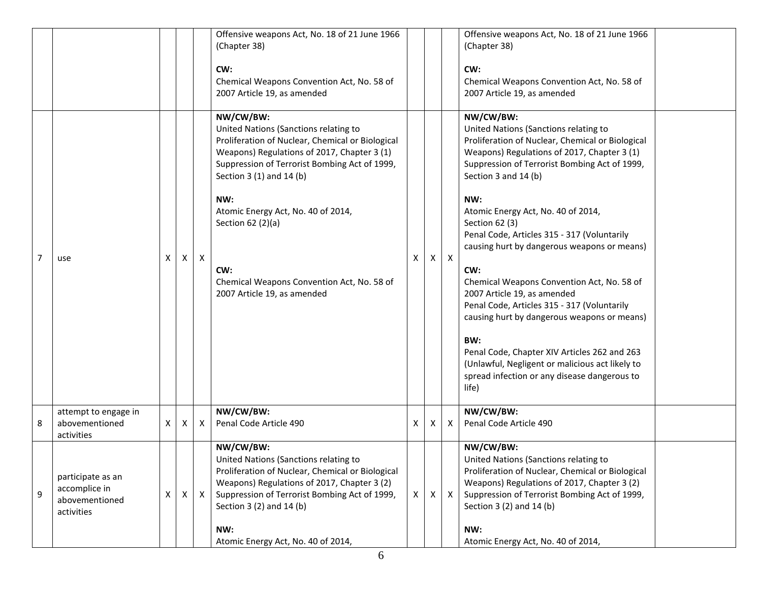|   |                                                                    |   |   |              | Offensive weapons Act, No. 18 of 21 June 1966<br>(Chapter 38)<br>CW:<br>Chemical Weapons Convention Act, No. 58 of<br>2007 Article 19, as amended                                                                                                                                                                                                                                        |    |          |              | Offensive weapons Act, No. 18 of 21 June 1966<br>(Chapter 38)<br>CW:<br>Chemical Weapons Convention Act, No. 58 of<br>2007 Article 19, as amended                                                                                                                                                                                                                                                                                                                                                                                                                                                                                                                                                                                                |  |
|---|--------------------------------------------------------------------|---|---|--------------|------------------------------------------------------------------------------------------------------------------------------------------------------------------------------------------------------------------------------------------------------------------------------------------------------------------------------------------------------------------------------------------|----|----------|--------------|--------------------------------------------------------------------------------------------------------------------------------------------------------------------------------------------------------------------------------------------------------------------------------------------------------------------------------------------------------------------------------------------------------------------------------------------------------------------------------------------------------------------------------------------------------------------------------------------------------------------------------------------------------------------------------------------------------------------------------------------------|--|
| 7 | use                                                                | X | X | $\mathsf{x}$ | NW/CW/BW:<br>United Nations (Sanctions relating to<br>Proliferation of Nuclear, Chemical or Biological<br>Weapons) Regulations of 2017, Chapter 3 (1)<br>Suppression of Terrorist Bombing Act of 1999,<br>Section 3 (1) and 14 (b)<br>NW:<br>Atomic Energy Act, No. 40 of 2014,<br>Section 62 (2)(a)<br>CW:<br>Chemical Weapons Convention Act, No. 58 of<br>2007 Article 19, as amended | X  | $\times$ | $\mathsf{X}$ | NW/CW/BW:<br>United Nations (Sanctions relating to<br>Proliferation of Nuclear, Chemical or Biological<br>Weapons) Regulations of 2017, Chapter 3 (1)<br>Suppression of Terrorist Bombing Act of 1999,<br>Section 3 and 14 (b)<br>NW:<br>Atomic Energy Act, No. 40 of 2014,<br>Section 62 (3)<br>Penal Code, Articles 315 - 317 (Voluntarily<br>causing hurt by dangerous weapons or means)<br>CW:<br>Chemical Weapons Convention Act, No. 58 of<br>2007 Article 19, as amended<br>Penal Code, Articles 315 - 317 (Voluntarily<br>causing hurt by dangerous weapons or means)<br>BW:<br>Penal Code, Chapter XIV Articles 262 and 263<br>(Unlawful, Negligent or malicious act likely to<br>spread infection or any disease dangerous to<br>life) |  |
| 8 | attempt to engage in<br>abovementioned<br>activities               | Χ | Χ | X            | NW/CW/BW:<br>Penal Code Article 490                                                                                                                                                                                                                                                                                                                                                      | X. | X        | $\mathsf{X}$ | NW/CW/BW:<br>Penal Code Article 490                                                                                                                                                                                                                                                                                                                                                                                                                                                                                                                                                                                                                                                                                                              |  |
| 9 | participate as an<br>accomplice in<br>abovementioned<br>activities | X | X | $\mathsf{X}$ | NW/CW/BW:<br>United Nations (Sanctions relating to<br>Proliferation of Nuclear, Chemical or Biological<br>Weapons) Regulations of 2017, Chapter 3 (2)<br>Suppression of Terrorist Bombing Act of 1999,<br>Section 3 (2) and 14 (b)<br>NW:<br>Atomic Energy Act, No. 40 of 2014,                                                                                                          | X  | X        | $\mathsf{X}$ | NW/CW/BW:<br>United Nations (Sanctions relating to<br>Proliferation of Nuclear, Chemical or Biological<br>Weapons) Regulations of 2017, Chapter 3 (2)<br>Suppression of Terrorist Bombing Act of 1999,<br>Section 3 (2) and 14 (b)<br>NW:<br>Atomic Energy Act, No. 40 of 2014,                                                                                                                                                                                                                                                                                                                                                                                                                                                                  |  |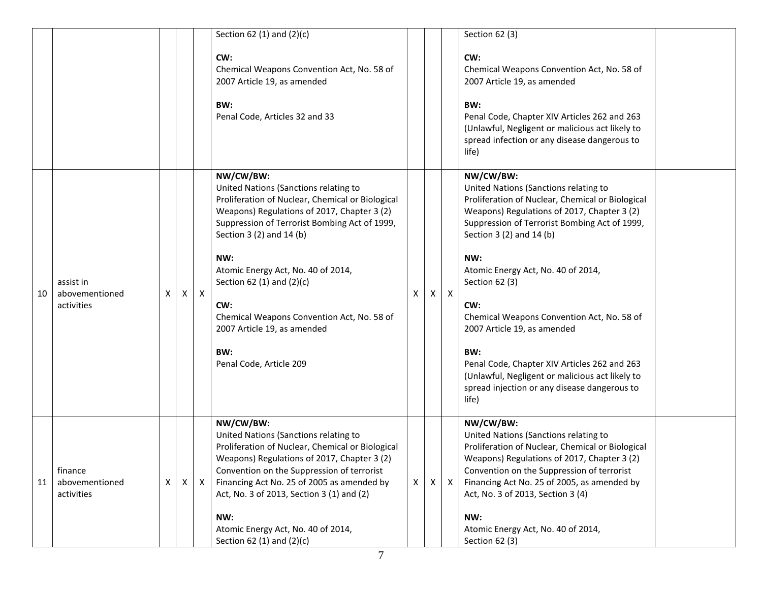|    |                                           |   |                           |              | Section 62 (1) and $(2)(c)$                                                                                                                                                                                                                                                                                                                                                                                                          |   |   |              | Section 62 (3)                                                                                                                                                                                                                                                                                                                                                                                                                                                                                                                                           |  |
|----|-------------------------------------------|---|---------------------------|--------------|--------------------------------------------------------------------------------------------------------------------------------------------------------------------------------------------------------------------------------------------------------------------------------------------------------------------------------------------------------------------------------------------------------------------------------------|---|---|--------------|----------------------------------------------------------------------------------------------------------------------------------------------------------------------------------------------------------------------------------------------------------------------------------------------------------------------------------------------------------------------------------------------------------------------------------------------------------------------------------------------------------------------------------------------------------|--|
|    |                                           |   |                           |              | CW:<br>Chemical Weapons Convention Act, No. 58 of<br>2007 Article 19, as amended<br>BW:<br>Penal Code, Articles 32 and 33                                                                                                                                                                                                                                                                                                            |   |   |              | CW:<br>Chemical Weapons Convention Act, No. 58 of<br>2007 Article 19, as amended<br>BW:<br>Penal Code, Chapter XIV Articles 262 and 263<br>(Unlawful, Negligent or malicious act likely to<br>spread infection or any disease dangerous to<br>life)                                                                                                                                                                                                                                                                                                      |  |
| 10 | assist in<br>abovementioned<br>activities | x | X                         | $\mathsf{X}$ | NW/CW/BW:<br>United Nations (Sanctions relating to<br>Proliferation of Nuclear, Chemical or Biological<br>Weapons) Regulations of 2017, Chapter 3 (2)<br>Suppression of Terrorist Bombing Act of 1999,<br>Section 3 (2) and 14 (b)<br>NW:<br>Atomic Energy Act, No. 40 of 2014,<br>Section 62 (1) and $(2)(c)$<br>CW:<br>Chemical Weapons Convention Act, No. 58 of<br>2007 Article 19, as amended<br>BW:<br>Penal Code, Article 209 | x | X | $\mathsf{X}$ | NW/CW/BW:<br>United Nations (Sanctions relating to<br>Proliferation of Nuclear, Chemical or Biological<br>Weapons) Regulations of 2017, Chapter 3 (2)<br>Suppression of Terrorist Bombing Act of 1999,<br>Section 3 (2) and 14 (b)<br>NW:<br>Atomic Energy Act, No. 40 of 2014,<br>Section 62 (3)<br>CW:<br>Chemical Weapons Convention Act, No. 58 of<br>2007 Article 19, as amended<br>BW:<br>Penal Code, Chapter XIV Articles 262 and 263<br>(Unlawful, Negligent or malicious act likely to<br>spread injection or any disease dangerous to<br>life) |  |
| 11 | finance<br>abovementioned<br>activities   | X | $\boldsymbol{\mathsf{X}}$ | $\mathsf{X}$ | NW/CW/BW:<br>United Nations (Sanctions relating to<br>Proliferation of Nuclear, Chemical or Biological<br>Weapons) Regulations of 2017, Chapter 3 (2)<br>Convention on the Suppression of terrorist<br>Financing Act No. 25 of 2005 as amended by<br>Act, No. 3 of 2013, Section 3 (1) and (2)<br>NW:<br>Atomic Energy Act, No. 40 of 2014,<br>Section 62 (1) and $(2)(c)$                                                           | X | X | $\mathsf{X}$ | NW/CW/BW:<br>United Nations (Sanctions relating to<br>Proliferation of Nuclear, Chemical or Biological<br>Weapons) Regulations of 2017, Chapter 3 (2)<br>Convention on the Suppression of terrorist<br>Financing Act No. 25 of 2005, as amended by<br>Act, No. 3 of 2013, Section 3 (4)<br>NW:<br>Atomic Energy Act, No. 40 of 2014,<br>Section 62 (3)                                                                                                                                                                                                   |  |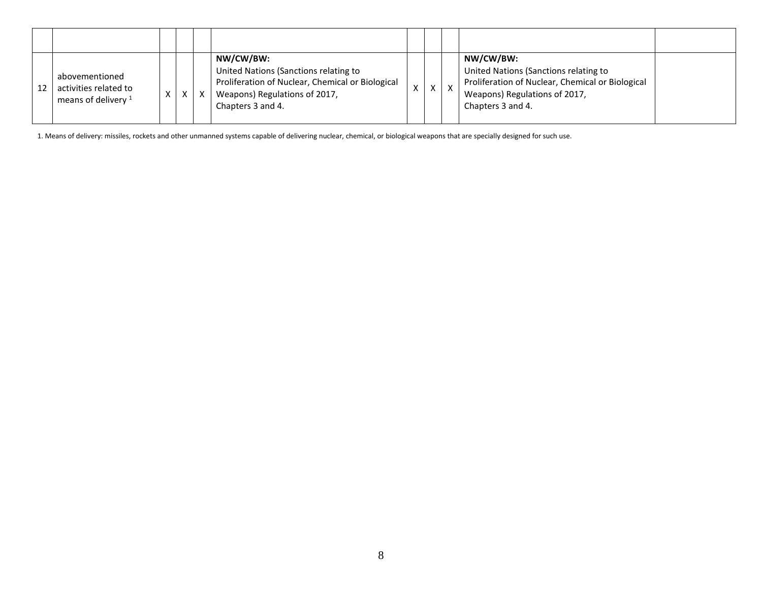| abovementioned<br>activities related to<br>means of delivery $1$ |  | X | NW/CW/BW:<br>United Nations (Sanctions relating to<br>Proliferation of Nuclear, Chemical or Biological<br>Weapons) Regulations of 2017,<br>Chapters 3 and 4. | $\mathsf{v}$ | $\times$ | NW/CW/BW:<br>United Nations (Sanctions relating to<br>Proliferation of Nuclear, Chemical or Biological<br>Weapons) Regulations of 2017,<br>Chapters 3 and 4. |  |
|------------------------------------------------------------------|--|---|--------------------------------------------------------------------------------------------------------------------------------------------------------------|--------------|----------|--------------------------------------------------------------------------------------------------------------------------------------------------------------|--|

1. Means of delivery: missiles, rockets and other unmanned systems capable of delivering nuclear, chemical, or biological weapons that are specially designed for such use.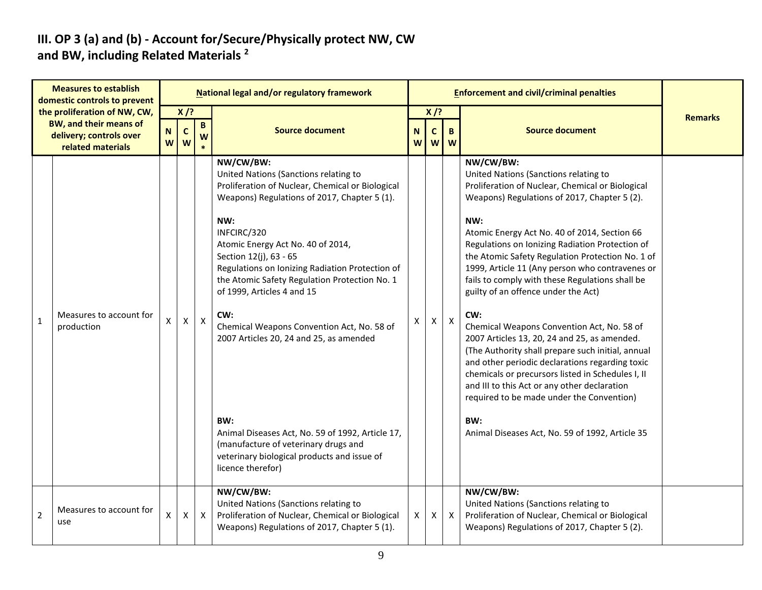#### **III. OP 3 (a) and (b) - Account for/Secure/Physically protect NW, CW and BW, including Related Materials <sup>2</sup>**

|                | <b>Measures to establish</b><br>domestic controls to prevent                                                  |                    |                            |                   | National legal and/or regulatory framework                                                                                                                                                                                                                                                                                                                                                                                                                                                                                                                                                                                                           |        |                            |              | <b>Enforcement and civil/criminal penalties</b>                                                                                                                                                                                                                                                                                                                                                                                                                                                                                                                                                                                                                                                                                                                                                                                                                                            |                |
|----------------|---------------------------------------------------------------------------------------------------------------|--------------------|----------------------------|-------------------|------------------------------------------------------------------------------------------------------------------------------------------------------------------------------------------------------------------------------------------------------------------------------------------------------------------------------------------------------------------------------------------------------------------------------------------------------------------------------------------------------------------------------------------------------------------------------------------------------------------------------------------------------|--------|----------------------------|--------------|--------------------------------------------------------------------------------------------------------------------------------------------------------------------------------------------------------------------------------------------------------------------------------------------------------------------------------------------------------------------------------------------------------------------------------------------------------------------------------------------------------------------------------------------------------------------------------------------------------------------------------------------------------------------------------------------------------------------------------------------------------------------------------------------------------------------------------------------------------------------------------------------|----------------|
|                | the proliferation of NW, CW,<br><b>BW, and their means of</b><br>delivery; controls over<br>related materials | $\mathbf N$<br>W   | $X$ /?<br>$\mathbf c$<br>W | $\mathbf{B}$<br>W | <b>Source document</b>                                                                                                                                                                                                                                                                                                                                                                                                                                                                                                                                                                                                                               | N<br>W | $X$ /?<br>$\mathbf c$<br>W | B.<br>W      | <b>Source document</b>                                                                                                                                                                                                                                                                                                                                                                                                                                                                                                                                                                                                                                                                                                                                                                                                                                                                     | <b>Remarks</b> |
| $\mathbf 1$    | Measures to account for<br>production                                                                         | $\pmb{\mathsf{X}}$ | X                          | $\boldsymbol{X}$  | NW/CW/BW:<br>United Nations (Sanctions relating to<br>Proliferation of Nuclear, Chemical or Biological<br>Weapons) Regulations of 2017, Chapter 5 (1).<br>NW:<br>INFCIRC/320<br>Atomic Energy Act No. 40 of 2014,<br>Section 12(j), 63 - 65<br>Regulations on Ionizing Radiation Protection of<br>the Atomic Safety Regulation Protection No. 1<br>of 1999, Articles 4 and 15<br>CW:<br>Chemical Weapons Convention Act, No. 58 of<br>2007 Articles 20, 24 and 25, as amended<br>BW:<br>Animal Diseases Act, No. 59 of 1992, Article 17,<br>(manufacture of veterinary drugs and<br>veterinary biological products and issue of<br>licence therefor) | Χ      | $\mathsf{X}$               | $\mathsf{X}$ | NW/CW/BW:<br>United Nations (Sanctions relating to<br>Proliferation of Nuclear, Chemical or Biological<br>Weapons) Regulations of 2017, Chapter 5 (2).<br>NW:<br>Atomic Energy Act No. 40 of 2014, Section 66<br>Regulations on Ionizing Radiation Protection of<br>the Atomic Safety Regulation Protection No. 1 of<br>1999, Article 11 (Any person who contravenes or<br>fails to comply with these Regulations shall be<br>guilty of an offence under the Act)<br>CW:<br>Chemical Weapons Convention Act, No. 58 of<br>2007 Articles 13, 20, 24 and 25, as amended.<br>(The Authority shall prepare such initial, annual<br>and other periodic declarations regarding toxic<br>chemicals or precursors listed in Schedules I, II<br>and III to this Act or any other declaration<br>required to be made under the Convention)<br>BW:<br>Animal Diseases Act, No. 59 of 1992, Article 35 |                |
| $\overline{2}$ | Measures to account for<br>use                                                                                | $\pmb{\mathsf{X}}$ | X                          | $\mathsf{X}$      | NW/CW/BW:<br>United Nations (Sanctions relating to<br>Proliferation of Nuclear, Chemical or Biological<br>Weapons) Regulations of 2017, Chapter 5 (1).                                                                                                                                                                                                                                                                                                                                                                                                                                                                                               | X      | $\mathsf{X}$               | $\mathsf{X}$ | NW/CW/BW:<br>United Nations (Sanctions relating to<br>Proliferation of Nuclear, Chemical or Biological<br>Weapons) Regulations of 2017, Chapter 5 (2).                                                                                                                                                                                                                                                                                                                                                                                                                                                                                                                                                                                                                                                                                                                                     |                |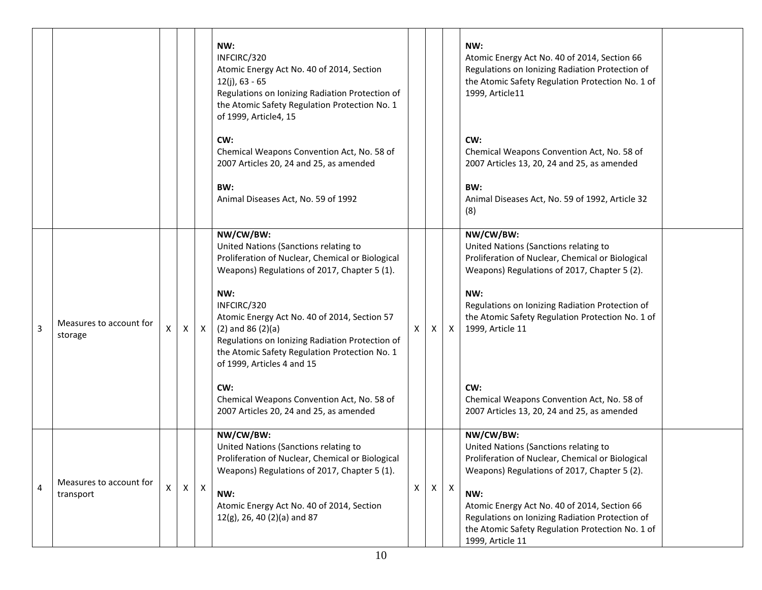|                |                                      |              |                           | NW:<br>INFCIRC/320<br>Atomic Energy Act No. 40 of 2014, Section<br>$12(i)$ , 63 - 65<br>Regulations on Ionizing Radiation Protection of<br>the Atomic Safety Regulation Protection No. 1<br>of 1999, Article4, 15                                                                                                                                                                              |   |          |              | NW:<br>Atomic Energy Act No. 40 of 2014, Section 66<br>Regulations on Ionizing Radiation Protection of<br>the Atomic Safety Regulation Protection No. 1 of<br>1999, Article11                                                                                                                                                            |  |
|----------------|--------------------------------------|--------------|---------------------------|------------------------------------------------------------------------------------------------------------------------------------------------------------------------------------------------------------------------------------------------------------------------------------------------------------------------------------------------------------------------------------------------|---|----------|--------------|------------------------------------------------------------------------------------------------------------------------------------------------------------------------------------------------------------------------------------------------------------------------------------------------------------------------------------------|--|
|                |                                      |              |                           | CW:<br>Chemical Weapons Convention Act, No. 58 of<br>2007 Articles 20, 24 and 25, as amended                                                                                                                                                                                                                                                                                                   |   |          |              | CW:<br>Chemical Weapons Convention Act, No. 58 of<br>2007 Articles 13, 20, 24 and 25, as amended                                                                                                                                                                                                                                         |  |
|                |                                      |              |                           | BW:<br>Animal Diseases Act, No. 59 of 1992                                                                                                                                                                                                                                                                                                                                                     |   |          |              | BW:<br>Animal Diseases Act, No. 59 of 1992, Article 32<br>(8)                                                                                                                                                                                                                                                                            |  |
| $\overline{3}$ | Measures to account for<br>storage   | $\mathsf{X}$ | $\mathsf{X}$              | NW/CW/BW:<br>United Nations (Sanctions relating to<br>Proliferation of Nuclear, Chemical or Biological<br>Weapons) Regulations of 2017, Chapter 5 (1).<br>NW:<br>INFCIRC/320<br>Atomic Energy Act No. 40 of 2014, Section 57<br>$(2)$ and 86 $(2)(a)$<br>Regulations on Ionizing Radiation Protection of<br>the Atomic Safety Regulation Protection No. 1<br>of 1999, Articles 4 and 15<br>CW: | X | $\times$ | $\mathsf{X}$ | NW/CW/BW:<br>United Nations (Sanctions relating to<br>Proliferation of Nuclear, Chemical or Biological<br>Weapons) Regulations of 2017, Chapter 5 (2).<br>NW:<br>Regulations on Ionizing Radiation Protection of<br>the Atomic Safety Regulation Protection No. 1 of<br>1999, Article 11<br>CW:                                          |  |
|                |                                      |              |                           | Chemical Weapons Convention Act, No. 58 of<br>2007 Articles 20, 24 and 25, as amended                                                                                                                                                                                                                                                                                                          |   |          |              | Chemical Weapons Convention Act, No. 58 of<br>2007 Articles 13, 20, 24 and 25, as amended                                                                                                                                                                                                                                                |  |
| $\overline{4}$ | Measures to account for<br>transport | X            | $\boldsymbol{\mathsf{X}}$ | NW/CW/BW:<br>United Nations (Sanctions relating to<br>Proliferation of Nuclear, Chemical or Biological<br>Weapons) Regulations of 2017, Chapter 5 (1).<br>NW:<br>Atomic Energy Act No. 40 of 2014, Section<br>$12(g)$ , 26, 40 (2)(a) and 87                                                                                                                                                   | X | X        | $\mathsf{X}$ | NW/CW/BW:<br>United Nations (Sanctions relating to<br>Proliferation of Nuclear, Chemical or Biological<br>Weapons) Regulations of 2017, Chapter 5 (2).<br>NW:<br>Atomic Energy Act No. 40 of 2014, Section 66<br>Regulations on Ionizing Radiation Protection of<br>the Atomic Safety Regulation Protection No. 1 of<br>1999, Article 11 |  |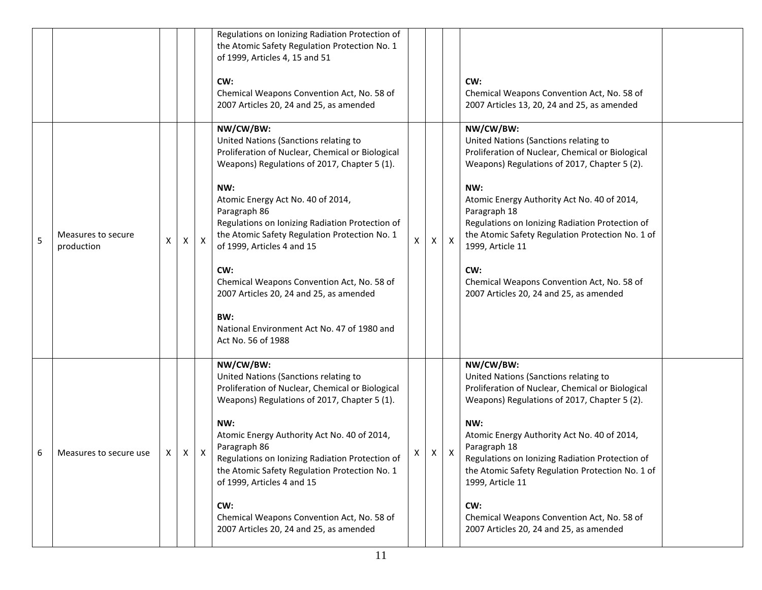|   |                                  |   |   |              | Regulations on Ionizing Radiation Protection of<br>the Atomic Safety Regulation Protection No. 1<br>of 1999, Articles 4, 15 and 51<br>CW:<br>Chemical Weapons Convention Act, No. 58 of<br>2007 Articles 20, 24 and 25, as amended                                                                                                                                                                                                                                                                                               |   |              |              | CW:<br>Chemical Weapons Convention Act, No. 58 of<br>2007 Articles 13, 20, 24 and 25, as amended                                                                                                                                                                                                                                                                                                                                                        |  |
|---|----------------------------------|---|---|--------------|----------------------------------------------------------------------------------------------------------------------------------------------------------------------------------------------------------------------------------------------------------------------------------------------------------------------------------------------------------------------------------------------------------------------------------------------------------------------------------------------------------------------------------|---|--------------|--------------|---------------------------------------------------------------------------------------------------------------------------------------------------------------------------------------------------------------------------------------------------------------------------------------------------------------------------------------------------------------------------------------------------------------------------------------------------------|--|
| 5 | Measures to secure<br>production | х | X | $\mathsf{X}$ | NW/CW/BW:<br>United Nations (Sanctions relating to<br>Proliferation of Nuclear, Chemical or Biological<br>Weapons) Regulations of 2017, Chapter 5 (1).<br>NW:<br>Atomic Energy Act No. 40 of 2014,<br>Paragraph 86<br>Regulations on Ionizing Radiation Protection of<br>the Atomic Safety Regulation Protection No. 1<br>of 1999, Articles 4 and 15<br>CW:<br>Chemical Weapons Convention Act, No. 58 of<br>2007 Articles 20, 24 and 25, as amended<br>BW:<br>National Environment Act No. 47 of 1980 and<br>Act No. 56 of 1988 | Χ | $\mathsf{X}$ | $\mathsf{X}$ | NW/CW/BW:<br>United Nations (Sanctions relating to<br>Proliferation of Nuclear, Chemical or Biological<br>Weapons) Regulations of 2017, Chapter 5 (2).<br>NW:<br>Atomic Energy Authority Act No. 40 of 2014,<br>Paragraph 18<br>Regulations on Ionizing Radiation Protection of<br>the Atomic Safety Regulation Protection No. 1 of<br>1999, Article 11<br>CW:<br>Chemical Weapons Convention Act, No. 58 of<br>2007 Articles 20, 24 and 25, as amended |  |
| 6 | Measures to secure use           | X | X | X            | NW/CW/BW:<br>United Nations (Sanctions relating to<br>Proliferation of Nuclear, Chemical or Biological<br>Weapons) Regulations of 2017, Chapter 5 (1).<br>NW:<br>Atomic Energy Authority Act No. 40 of 2014,<br>Paragraph 86<br>Regulations on Ionizing Radiation Protection of<br>the Atomic Safety Regulation Protection No. 1<br>of 1999, Articles 4 and 15<br>CW:<br>Chemical Weapons Convention Act, No. 58 of<br>2007 Articles 20, 24 and 25, as amended                                                                   | x | X            | X            | NW/CW/BW:<br>United Nations (Sanctions relating to<br>Proliferation of Nuclear, Chemical or Biological<br>Weapons) Regulations of 2017, Chapter 5 (2).<br>NW:<br>Atomic Energy Authority Act No. 40 of 2014,<br>Paragraph 18<br>Regulations on Ionizing Radiation Protection of<br>the Atomic Safety Regulation Protection No. 1 of<br>1999, Article 11<br>CW:<br>Chemical Weapons Convention Act, No. 58 of<br>2007 Articles 20, 24 and 25, as amended |  |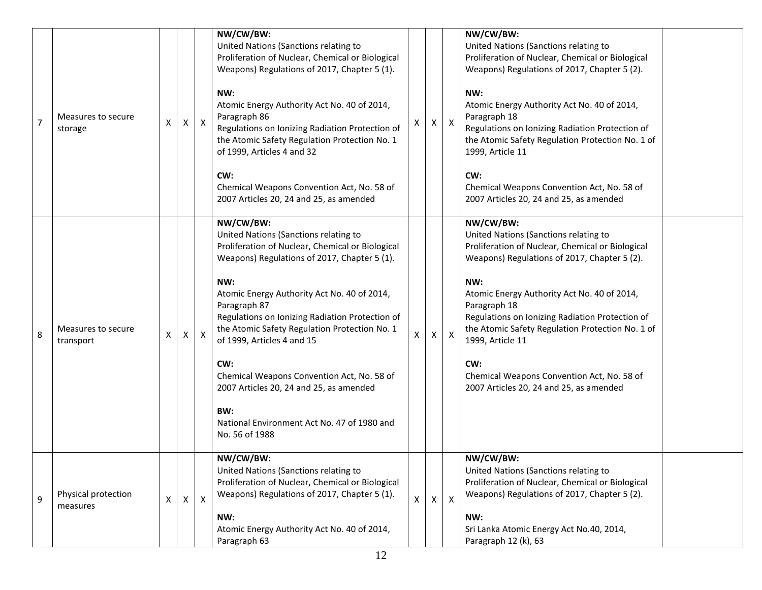| $\overline{7}$ | Measures to secure<br>storage   | $\pmb{\mathsf{X}}$ | Χ | $\mathsf{X}$ | NW/CW/BW:<br>United Nations (Sanctions relating to<br>Proliferation of Nuclear, Chemical or Biological<br>Weapons) Regulations of 2017, Chapter 5 (1).<br>NW:<br>Atomic Energy Authority Act No. 40 of 2014,<br>Paragraph 86<br>Regulations on Ionizing Radiation Protection of<br>the Atomic Safety Regulation Protection No. 1<br>of 1999, Articles 4 and 32<br>CW:<br>Chemical Weapons Convention Act, No. 58 of<br>2007 Articles 20, 24 and 25, as amended                                                                         | X            | X        | $\mathsf{X}$ | NW/CW/BW:<br>United Nations (Sanctions relating to<br>Proliferation of Nuclear, Chemical or Biological<br>Weapons) Regulations of 2017, Chapter 5 (2).<br>NW:<br>Atomic Energy Authority Act No. 40 of 2014,<br>Paragraph 18<br>Regulations on Ionizing Radiation Protection of<br>the Atomic Safety Regulation Protection No. 1 of<br>1999, Article 11<br>CW:<br>Chemical Weapons Convention Act, No. 58 of<br>2007 Articles 20, 24 and 25, as amended |  |
|----------------|---------------------------------|--------------------|---|--------------|----------------------------------------------------------------------------------------------------------------------------------------------------------------------------------------------------------------------------------------------------------------------------------------------------------------------------------------------------------------------------------------------------------------------------------------------------------------------------------------------------------------------------------------|--------------|----------|--------------|---------------------------------------------------------------------------------------------------------------------------------------------------------------------------------------------------------------------------------------------------------------------------------------------------------------------------------------------------------------------------------------------------------------------------------------------------------|--|
| 8              | Measures to secure<br>transport | $\pmb{\mathsf{X}}$ | Χ | X            | NW/CW/BW:<br>United Nations (Sanctions relating to<br>Proliferation of Nuclear, Chemical or Biological<br>Weapons) Regulations of 2017, Chapter 5 (1).<br>NW:<br>Atomic Energy Authority Act No. 40 of 2014,<br>Paragraph 87<br>Regulations on Ionizing Radiation Protection of<br>the Atomic Safety Regulation Protection No. 1<br>of 1999, Articles 4 and 15<br>CW:<br>Chemical Weapons Convention Act, No. 58 of<br>2007 Articles 20, 24 and 25, as amended<br>BW:<br>National Environment Act No. 47 of 1980 and<br>No. 56 of 1988 | X            | X        | $\mathsf{X}$ | NW/CW/BW:<br>United Nations (Sanctions relating to<br>Proliferation of Nuclear, Chemical or Biological<br>Weapons) Regulations of 2017, Chapter 5 (2).<br>NW:<br>Atomic Energy Authority Act No. 40 of 2014,<br>Paragraph 18<br>Regulations on Ionizing Radiation Protection of<br>the Atomic Safety Regulation Protection No. 1 of<br>1999, Article 11<br>CW:<br>Chemical Weapons Convention Act, No. 58 of<br>2007 Articles 20, 24 and 25, as amended |  |
| 9              | Physical protection<br>measures | X                  | X | $\mathsf{X}$ | NW/CW/BW:<br>United Nations (Sanctions relating to<br>Proliferation of Nuclear, Chemical or Biological<br>Weapons) Regulations of 2017, Chapter 5 (1).<br>NW:<br>Atomic Energy Authority Act No. 40 of 2014,<br>Paragraph 63                                                                                                                                                                                                                                                                                                           | $\mathsf{X}$ | $\times$ | $\mathsf{X}$ | NW/CW/BW:<br>United Nations (Sanctions relating to<br>Proliferation of Nuclear, Chemical or Biological<br>Weapons) Regulations of 2017, Chapter 5 (2).<br>NW:<br>Sri Lanka Atomic Energy Act No.40, 2014,<br>Paragraph 12 (k), 63                                                                                                                                                                                                                       |  |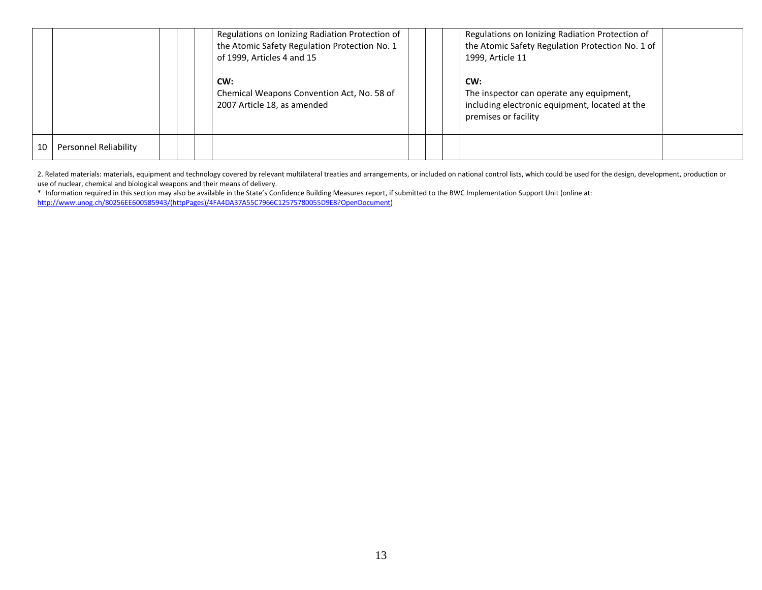|    |                       |  | Regulations on Ionizing Radiation Protection of<br>the Atomic Safety Regulation Protection No. 1<br>of 1999, Articles 4 and 15 |  | Regulations on Ionizing Radiation Protection of<br>the Atomic Safety Regulation Protection No. 1 of<br>1999, Article 11   |  |
|----|-----------------------|--|--------------------------------------------------------------------------------------------------------------------------------|--|---------------------------------------------------------------------------------------------------------------------------|--|
|    |                       |  | CW:<br>Chemical Weapons Convention Act, No. 58 of<br>2007 Article 18, as amended                                               |  | CW:<br>The inspector can operate any equipment,<br>including electronic equipment, located at the<br>premises or facility |  |
| 10 | Personnel Reliability |  |                                                                                                                                |  |                                                                                                                           |  |

2. Related materials: materials, equipment and technology covered by relevant multilateral treaties and arrangements, or included on national control lists, which could be used for the design, development, production or use of nuclear, chemical and biological weapons and their means of delivery.

\* Information required in this section may also be available in the State's Confidence Building Measures report, if submitted to the BWC Implementation Support Unit (online at: [http://www.unog.ch/80256EE600585943/\(httpPages\)/4FA4DA37A55C7966C12575780055D9E8?OpenDocument\)](http://www.unog.ch/80256EE600585943/(httpPages)/4FA4DA37A55C7966C12575780055D9E8?OpenDocument)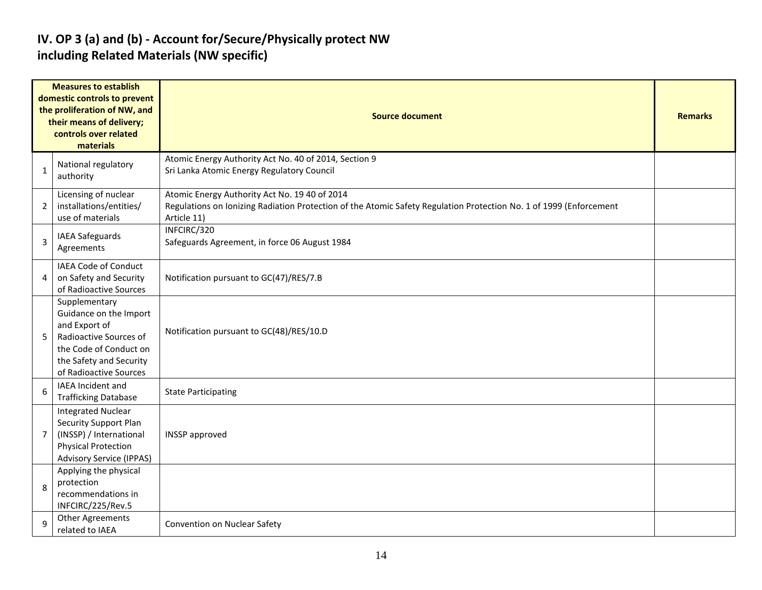#### **IV. OP 3 (a) and (b) - Account for/Secure/Physically protect NW including Related Materials (NW specific)**

|                | <b>Measures to establish</b><br>domestic controls to prevent<br>the proliferation of NW, and<br>their means of delivery;<br>controls over related<br>materials    | <b>Source document</b>                                                                                                                                                             |  |  |  |  |  |  |
|----------------|-------------------------------------------------------------------------------------------------------------------------------------------------------------------|------------------------------------------------------------------------------------------------------------------------------------------------------------------------------------|--|--|--|--|--|--|
| 1              | National regulatory<br>authority                                                                                                                                  | Atomic Energy Authority Act No. 40 of 2014, Section 9<br>Sri Lanka Atomic Energy Regulatory Council                                                                                |  |  |  |  |  |  |
| 2              | Licensing of nuclear<br>installations/entities/<br>use of materials                                                                                               | Atomic Energy Authority Act No. 19 40 of 2014<br>Regulations on Ionizing Radiation Protection of the Atomic Safety Regulation Protection No. 1 of 1999 (Enforcement<br>Article 11) |  |  |  |  |  |  |
| 3              | IAEA Safeguards<br>Agreements                                                                                                                                     | INFCIRC/320<br>Safeguards Agreement, in force 06 August 1984                                                                                                                       |  |  |  |  |  |  |
| 4              | IAEA Code of Conduct<br>on Safety and Security<br>of Radioactive Sources                                                                                          | Notification pursuant to GC(47)/RES/7.B                                                                                                                                            |  |  |  |  |  |  |
| 5              | Supplementary<br>Guidance on the Import<br>and Export of<br>Radioactive Sources of<br>the Code of Conduct on<br>the Safety and Security<br>of Radioactive Sources | Notification pursuant to GC(48)/RES/10.D                                                                                                                                           |  |  |  |  |  |  |
| 6              | IAEA Incident and<br><b>Trafficking Database</b>                                                                                                                  | <b>State Participating</b>                                                                                                                                                         |  |  |  |  |  |  |
| $\overline{7}$ | <b>Integrated Nuclear</b><br>Security Support Plan<br>(INSSP) / International<br><b>Physical Protection</b><br><b>Advisory Service (IPPAS)</b>                    | <b>INSSP</b> approved                                                                                                                                                              |  |  |  |  |  |  |
| 8              | Applying the physical<br>protection<br>recommendations in<br>INFCIRC/225/Rev.5                                                                                    |                                                                                                                                                                                    |  |  |  |  |  |  |
| $\mathbf{q}$   | <b>Other Agreements</b><br>related to IAEA                                                                                                                        | Convention on Nuclear Safety                                                                                                                                                       |  |  |  |  |  |  |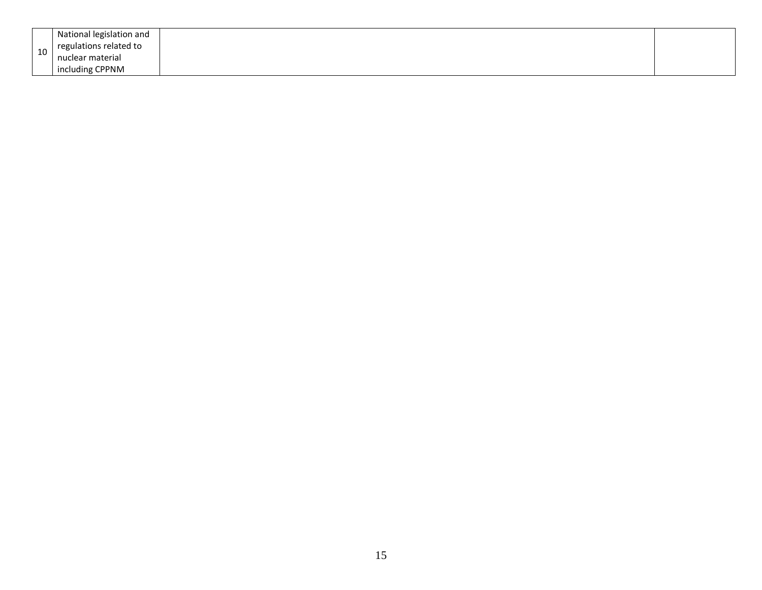| nuclear material |    | National legislation and<br>regulations related to |  |
|------------------|----|----------------------------------------------------|--|
|                  | 10 | including CPPNM                                    |  |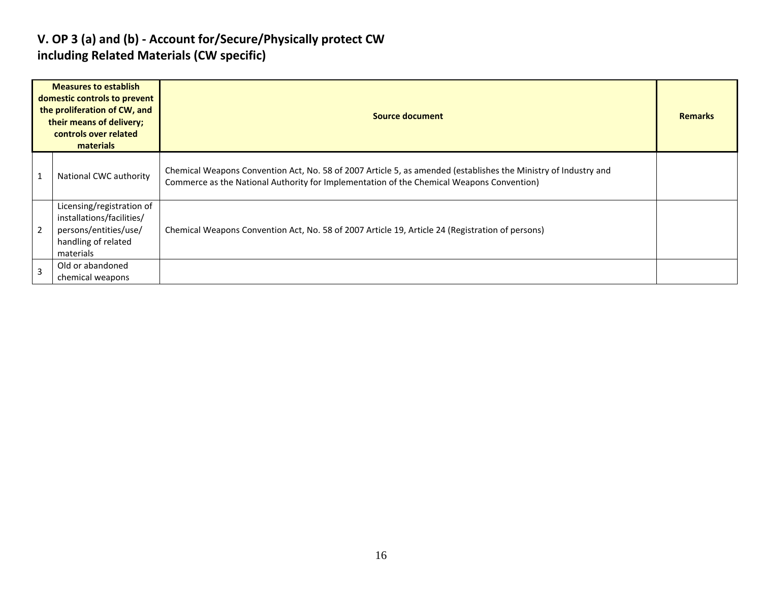#### **V. OP 3 (a) and (b) - Account for/Secure/Physically protect CW including Related Materials (CW specific)**

|   | <b>Measures to establish</b><br>domestic controls to prevent<br>the proliferation of CW, and<br>their means of delivery;<br>controls over related<br>materials | Source document                                                                                                                                                                                              |  |  |  |  |  |
|---|----------------------------------------------------------------------------------------------------------------------------------------------------------------|--------------------------------------------------------------------------------------------------------------------------------------------------------------------------------------------------------------|--|--|--|--|--|
|   | National CWC authority                                                                                                                                         | Chemical Weapons Convention Act, No. 58 of 2007 Article 5, as amended (establishes the Ministry of Industry and<br>Commerce as the National Authority for Implementation of the Chemical Weapons Convention) |  |  |  |  |  |
|   | Licensing/registration of<br>installations/facilities/<br>persons/entities/use/<br>handling of related<br>materials                                            | Chemical Weapons Convention Act, No. 58 of 2007 Article 19, Article 24 (Registration of persons)                                                                                                             |  |  |  |  |  |
| 3 | Old or abandoned<br>chemical weapons                                                                                                                           |                                                                                                                                                                                                              |  |  |  |  |  |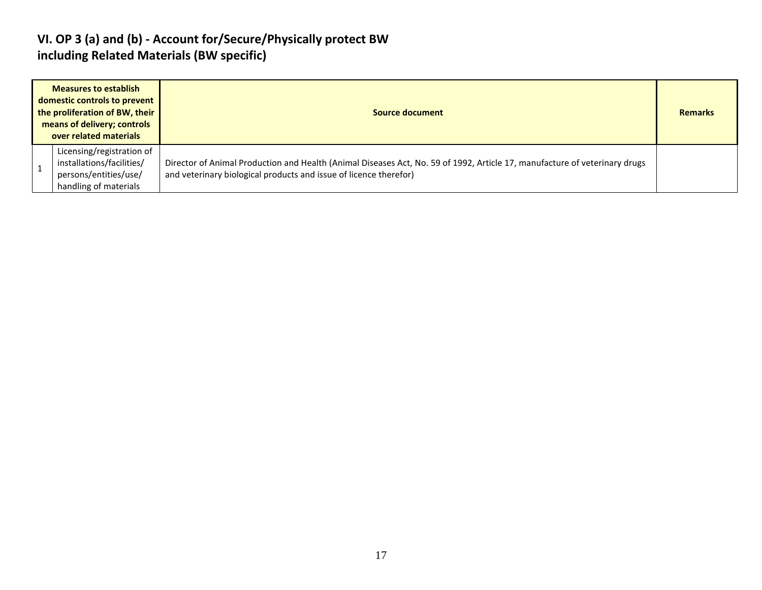#### **VI. OP 3 (a) and (b) - Account for/Secure/Physically protect BW including Related Materials (BW specific)**

| <b>Measures to establish</b><br>domestic controls to prevent<br>the proliferation of BW, their<br>means of delivery; controls<br>over related materials | Source document                                                                                                                                                                                 |  |  |  |  |
|---------------------------------------------------------------------------------------------------------------------------------------------------------|-------------------------------------------------------------------------------------------------------------------------------------------------------------------------------------------------|--|--|--|--|
| Licensing/registration of<br>installations/facilities/<br>persons/entities/use/<br>handling of materials                                                | Director of Animal Production and Health (Animal Diseases Act, No. 59 of 1992, Article 17, manufacture of veterinary drugs<br>and veterinary biological products and issue of licence therefor) |  |  |  |  |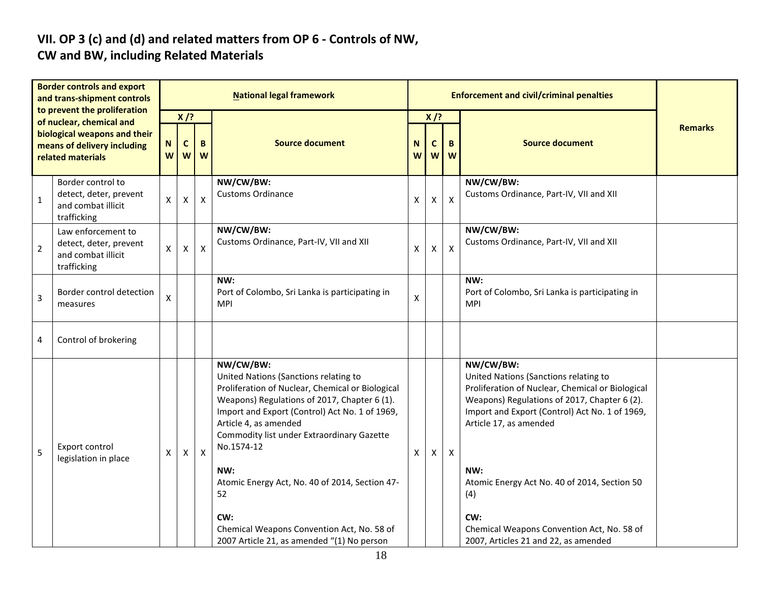# **VII. OP 3 (c) and (d) and related matters from OP 6 - Controls of NW,**

### **CW and BW, including Related Materials**

| <b>Border controls and export</b><br>and trans-shipment controls<br>to prevent the proliferation<br>of nuclear, chemical and |                                                                                   | <b>National legal framework</b> |                                               |                |                                                                                                                                                                                                                                                                                                                                                                                                                                                                 |        |                  | <b>Enforcement and civil/criminal penalties</b> |                                                                                                                                                                                                                                                                                                                                                                                               |                |
|------------------------------------------------------------------------------------------------------------------------------|-----------------------------------------------------------------------------------|---------------------------------|-----------------------------------------------|----------------|-----------------------------------------------------------------------------------------------------------------------------------------------------------------------------------------------------------------------------------------------------------------------------------------------------------------------------------------------------------------------------------------------------------------------------------------------------------------|--------|------------------|-------------------------------------------------|-----------------------------------------------------------------------------------------------------------------------------------------------------------------------------------------------------------------------------------------------------------------------------------------------------------------------------------------------------------------------------------------------|----------------|
|                                                                                                                              |                                                                                   | X/?                             |                                               |                |                                                                                                                                                                                                                                                                                                                                                                                                                                                                 |        | $X$ /?           |                                                 |                                                                                                                                                                                                                                                                                                                                                                                               |                |
| biological weapons and their<br>means of delivery including<br>related materials                                             |                                                                                   |                                 | ${\bf N}$<br>$\mathbf{C}$<br>B<br>W<br>W<br>W |                | <b>Source document</b>                                                                                                                                                                                                                                                                                                                                                                                                                                          | N<br>W | $\mathbf c$<br>W | B<br>W                                          | <b>Source document</b>                                                                                                                                                                                                                                                                                                                                                                        | <b>Remarks</b> |
| $\mathbf 1$                                                                                                                  | Border control to<br>detect, deter, prevent<br>and combat illicit<br>trafficking  | Χ                               | $\pmb{\mathsf{X}}$                            | $\pmb{\times}$ | NW/CW/BW:<br><b>Customs Ordinance</b>                                                                                                                                                                                                                                                                                                                                                                                                                           | X      | X                | $\pmb{\mathsf{X}}$                              | NW/CW/BW:<br>Customs Ordinance, Part-IV, VII and XII                                                                                                                                                                                                                                                                                                                                          |                |
| $\overline{2}$                                                                                                               | Law enforcement to<br>detect, deter, prevent<br>and combat illicit<br>trafficking | X                               | X                                             | $\mathsf{X}$   | NW/CW/BW:<br>Customs Ordinance, Part-IV, VII and XII                                                                                                                                                                                                                                                                                                                                                                                                            | X      | X                | $\pmb{\times}$                                  | NW/CW/BW:<br>Customs Ordinance, Part-IV, VII and XII                                                                                                                                                                                                                                                                                                                                          |                |
| $\overline{\mathbf{3}}$                                                                                                      | Border control detection<br>measures                                              | Χ                               |                                               |                | NW:<br>Port of Colombo, Sri Lanka is participating in<br>MPI                                                                                                                                                                                                                                                                                                                                                                                                    | X      |                  |                                                 | NW:<br>Port of Colombo, Sri Lanka is participating in<br><b>MPI</b>                                                                                                                                                                                                                                                                                                                           |                |
| 4                                                                                                                            | Control of brokering                                                              |                                 |                                               |                |                                                                                                                                                                                                                                                                                                                                                                                                                                                                 |        |                  |                                                 |                                                                                                                                                                                                                                                                                                                                                                                               |                |
| 5                                                                                                                            | Export control<br>legislation in place                                            | X                               | X                                             | X              | NW/CW/BW:<br>United Nations (Sanctions relating to<br>Proliferation of Nuclear, Chemical or Biological<br>Weapons) Regulations of 2017, Chapter 6 (1).<br>Import and Export (Control) Act No. 1 of 1969,<br>Article 4, as amended<br>Commodity list under Extraordinary Gazette<br>No.1574-12<br>NW:<br>Atomic Energy Act, No. 40 of 2014, Section 47-<br>52<br>CW:<br>Chemical Weapons Convention Act, No. 58 of<br>2007 Article 21, as amended "(1) No person | X      | Χ                | $\boldsymbol{\mathsf{X}}$                       | NW/CW/BW:<br>United Nations (Sanctions relating to<br>Proliferation of Nuclear, Chemical or Biological<br>Weapons) Regulations of 2017, Chapter 6 (2).<br>Import and Export (Control) Act No. 1 of 1969,<br>Article 17, as amended<br>NW:<br>Atomic Energy Act No. 40 of 2014, Section 50<br>(4)<br>CW:<br>Chemical Weapons Convention Act, No. 58 of<br>2007, Articles 21 and 22, as amended |                |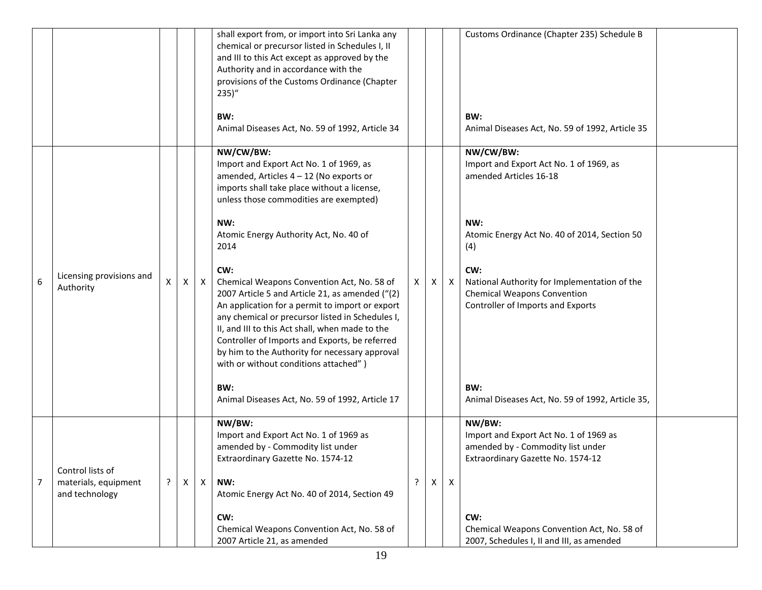|                |                                        |              |                |              | shall export from, or import into Sri Lanka any<br>chemical or precursor listed in Schedules I, II<br>and III to this Act except as approved by the<br>Authority and in accordance with the<br>provisions of the Customs Ordinance (Chapter<br>$235)$ "<br>BW:                                                                                                                                              |   |   |              | Customs Ordinance (Chapter 235) Schedule B<br>BW:                                                                              |
|----------------|----------------------------------------|--------------|----------------|--------------|-------------------------------------------------------------------------------------------------------------------------------------------------------------------------------------------------------------------------------------------------------------------------------------------------------------------------------------------------------------------------------------------------------------|---|---|--------------|--------------------------------------------------------------------------------------------------------------------------------|
|                |                                        |              |                |              | Animal Diseases Act, No. 59 of 1992, Article 34                                                                                                                                                                                                                                                                                                                                                             |   |   |              | Animal Diseases Act, No. 59 of 1992, Article 35                                                                                |
|                |                                        |              |                |              | NW/CW/BW:<br>Import and Export Act No. 1 of 1969, as<br>amended, Articles $4 - 12$ (No exports or<br>imports shall take place without a license,<br>unless those commodities are exempted)                                                                                                                                                                                                                  |   |   |              | NW/CW/BW:<br>Import and Export Act No. 1 of 1969, as<br>amended Articles 16-18                                                 |
|                |                                        |              |                |              | NW:<br>Atomic Energy Authority Act, No. 40 of<br>2014                                                                                                                                                                                                                                                                                                                                                       |   |   |              | NW:<br>Atomic Energy Act No. 40 of 2014, Section 50<br>(4)                                                                     |
| 6              | Licensing provisions and<br>Authority  | X            | $\mathsf{X}$   | $\mathsf{X}$ | CW:<br>Chemical Weapons Convention Act, No. 58 of<br>2007 Article 5 and Article 21, as amended ("(2)<br>An application for a permit to import or export<br>any chemical or precursor listed in Schedules I,<br>II, and III to this Act shall, when made to the<br>Controller of Imports and Exports, be referred<br>by him to the Authority for necessary approval<br>with or without conditions attached") | X | X | $\mathsf{X}$ | CW:<br>National Authority for Implementation of the<br><b>Chemical Weapons Convention</b><br>Controller of Imports and Exports |
|                |                                        |              |                |              | BW:<br>Animal Diseases Act, No. 59 of 1992, Article 17                                                                                                                                                                                                                                                                                                                                                      |   |   |              | BW:<br>Animal Diseases Act, No. 59 of 1992, Article 35,                                                                        |
|                | Control lists of                       |              |                |              | NW/BW:<br>Import and Export Act No. 1 of 1969 as<br>amended by - Commodity list under<br>Extraordinary Gazette No. 1574-12                                                                                                                                                                                                                                                                                  |   |   |              | NW/BW:<br>Import and Export Act No. 1 of 1969 as<br>amended by - Commodity list under<br>Extraordinary Gazette No. 1574-12     |
| $\overline{7}$ | materials, equipment<br>and technology | $\mathbf{P}$ | $\pmb{\times}$ | $\mathsf{X}$ | NW:<br>Atomic Energy Act No. 40 of 2014, Section 49                                                                                                                                                                                                                                                                                                                                                         | ? | X | $\mathsf{x}$ |                                                                                                                                |
|                |                                        |              |                |              | CW:<br>Chemical Weapons Convention Act, No. 58 of<br>2007 Article 21, as amended                                                                                                                                                                                                                                                                                                                            |   |   |              | CW:<br>Chemical Weapons Convention Act, No. 58 of<br>2007, Schedules I, II and III, as amended                                 |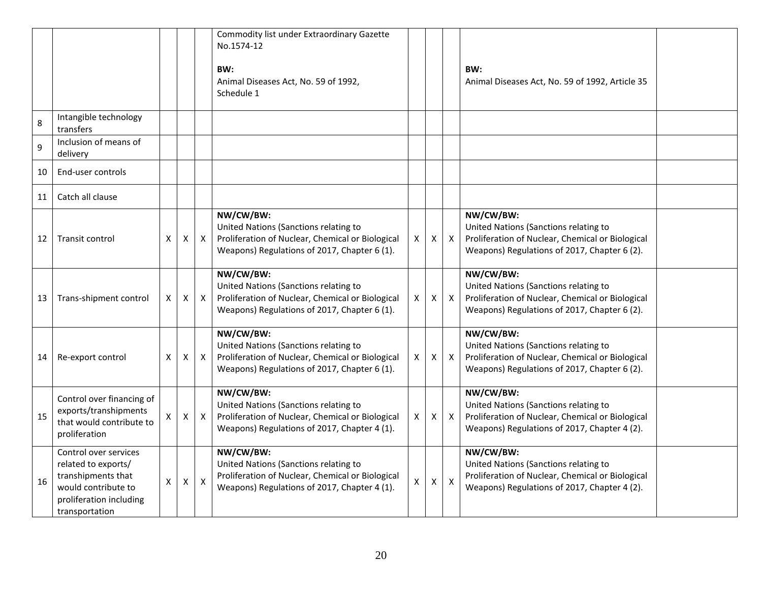|    |                                                                                                                                        |   |              |                  | Commodity list under Extraordinary Gazette<br>No.1574-12<br>BW:<br>Animal Diseases Act, No. 59 of 1992,<br>Schedule 1                                  |              |   |              | BW:<br>Animal Diseases Act, No. 59 of 1992, Article 35                                                                                                 |  |
|----|----------------------------------------------------------------------------------------------------------------------------------------|---|--------------|------------------|--------------------------------------------------------------------------------------------------------------------------------------------------------|--------------|---|--------------|--------------------------------------------------------------------------------------------------------------------------------------------------------|--|
| 8  | Intangible technology<br>transfers                                                                                                     |   |              |                  |                                                                                                                                                        |              |   |              |                                                                                                                                                        |  |
| 9  | Inclusion of means of<br>delivery                                                                                                      |   |              |                  |                                                                                                                                                        |              |   |              |                                                                                                                                                        |  |
| 10 | End-user controls                                                                                                                      |   |              |                  |                                                                                                                                                        |              |   |              |                                                                                                                                                        |  |
| 11 | Catch all clause                                                                                                                       |   |              |                  |                                                                                                                                                        |              |   |              |                                                                                                                                                        |  |
| 12 | Transit control                                                                                                                        | X | X            | $\mathsf{X}$     | NW/CW/BW:<br>United Nations (Sanctions relating to<br>Proliferation of Nuclear, Chemical or Biological<br>Weapons) Regulations of 2017, Chapter 6 (1). | X            | Χ | $\mathsf{X}$ | NW/CW/BW:<br>United Nations (Sanctions relating to<br>Proliferation of Nuclear, Chemical or Biological<br>Weapons) Regulations of 2017, Chapter 6 (2). |  |
| 13 | Trans-shipment control                                                                                                                 | X | X            | $\mathsf{X}$     | NW/CW/BW:<br>United Nations (Sanctions relating to<br>Proliferation of Nuclear, Chemical or Biological<br>Weapons) Regulations of 2017, Chapter 6 (1). | $\mathsf{X}$ | X | $\mathsf{X}$ | NW/CW/BW:<br>United Nations (Sanctions relating to<br>Proliferation of Nuclear, Chemical or Biological<br>Weapons) Regulations of 2017, Chapter 6 (2). |  |
| 14 | Re-export control                                                                                                                      | X | X            | $\mathsf{X}$     | NW/CW/BW:<br>United Nations (Sanctions relating to<br>Proliferation of Nuclear, Chemical or Biological<br>Weapons) Regulations of 2017, Chapter 6 (1). | X            | X | $\mathsf{X}$ | NW/CW/BW:<br>United Nations (Sanctions relating to<br>Proliferation of Nuclear, Chemical or Biological<br>Weapons) Regulations of 2017, Chapter 6 (2). |  |
| 15 | Control over financing of<br>exports/transhipments<br>that would contribute to<br>proliferation                                        | X | $\mathsf{X}$ | $\mathsf{X}$     | NW/CW/BW:<br>United Nations (Sanctions relating to<br>Proliferation of Nuclear, Chemical or Biological<br>Weapons) Regulations of 2017, Chapter 4 (1). | $\mathsf{X}$ | X | $\mathsf{X}$ | NW/CW/BW:<br>United Nations (Sanctions relating to<br>Proliferation of Nuclear, Chemical or Biological<br>Weapons) Regulations of 2017, Chapter 4 (2). |  |
| 16 | Control over services<br>related to exports/<br>transhipments that<br>would contribute to<br>proliferation including<br>transportation | X | X            | $\boldsymbol{X}$ | NW/CW/BW:<br>United Nations (Sanctions relating to<br>Proliferation of Nuclear, Chemical or Biological<br>Weapons) Regulations of 2017, Chapter 4 (1). | X            | X | $\mathsf{X}$ | NW/CW/BW:<br>United Nations (Sanctions relating to<br>Proliferation of Nuclear, Chemical or Biological<br>Weapons) Regulations of 2017, Chapter 4 (2). |  |